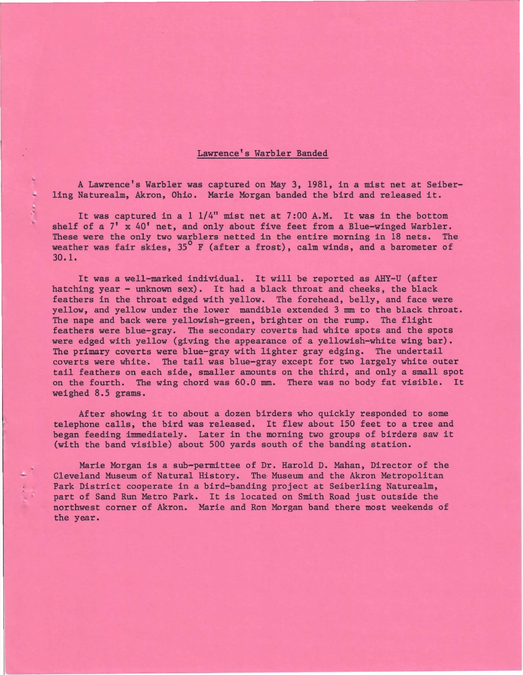## Lawrence's Warbler Banded

A Lawrence's Warbler was captured on May 3, 1981, in a mist net at Seiberling Naturealm, Akron, Ohio. Marie Morgan banded the bird and released it.

It was captured in a 1 1/4" mist net at 7:00 A.M. It was in the bottom shelf of a  $7'$  x  $40'$  net, and only about five feet from a Blue-winged Warbler. These were the only two warblers netted in the entire morning in 18 nets. The weather was fair skies,  $35^{\circ}$  F (after a frost), calm winds, and a barometer of 30.1.

It was a well-marked individual. It will be reported as AHY-U (after hatching year - unknown sex). It had a black throat and cheeks, the black feathers in the throat edged with yellow. The forehead, belly, and face were yellow, and yellow under the lower mandible extended 3 mm to the black throat. The nape and back were yellowish-green, brighter on the rump. The flight feathers were blue-gray. The secondary coverts had white spots and the spots were edged with yellow (giving the appearance of a yellowish-white wing bar). The primary coverts were blue-gray with lighter gray edging. The undertail coverts were white. The tail was blue-gray except for two largely white outer tail feathers on each side, smaller amounts on the third, and only a small spot on the fourth. The wing chord was 60.0 mm. There was no body fat visible. It weighed 8.5 grams.

After showing it to about a dozen birders who quickly responded to some telephone calls, the bird was released. It flew about 150 feet to a tree and began feeding immediately. Later in the morning two groups of birders saw it (with the band visible) about 500 yards south of the banding station.

Marie Morgan is a sub-permittee of Dr. Harold D. Mahan, Director of the Cleveland Museum of Natural History. The Museum and the Akron Metropolitan Park District cooperate in a bird-banding project at Seiberling Naturealm, part of Sand Run Metro Park. It is located on Smith Road just outside the northwest corner of Akron. Marie and Ron Morgan band there most weekends of the year.